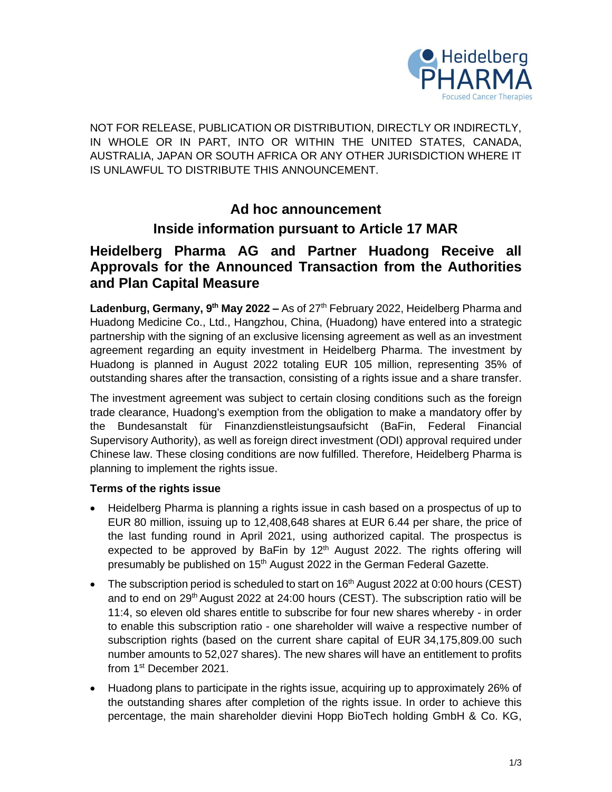

NOT FOR RELEASE, PUBLICATION OR DISTRIBUTION, DIRECTLY OR INDIRECTLY, IN WHOLE OR IN PART, INTO OR WITHIN THE UNITED STATES, CANADA, AUSTRALIA, JAPAN OR SOUTH AFRICA OR ANY OTHER JURISDICTION WHERE IT IS UNLAWFUL TO DISTRIBUTE THIS ANNOUNCEMENT.

## **Ad hoc announcement**

## **Inside information pursuant to Article 17 MAR**

# **Heidelberg Pharma AG and Partner Huadong Receive all Approvals for the Announced Transaction from the Authorities and Plan Capital Measure**

Ladenburg, Germany, 9<sup>th</sup> May 2022 – As of 27<sup>th</sup> February 2022, Heidelberg Pharma and Huadong Medicine Co., Ltd., Hangzhou, China, (Huadong) have entered into a strategic partnership with the signing of an exclusive licensing agreement as well as an investment agreement regarding an equity investment in Heidelberg Pharma. The investment by Huadong is planned in August 2022 totaling EUR 105 million, representing 35% of outstanding shares after the transaction, consisting of a rights issue and a share transfer.

The investment agreement was subject to certain closing conditions such as the foreign trade clearance, Huadong's exemption from the obligation to make a mandatory offer by the Bundesanstalt für Finanzdienstleistungsaufsicht (BaFin, Federal Financial Supervisory Authority), as well as foreign direct investment (ODI) approval required under Chinese law. These closing conditions are now fulfilled. Therefore, Heidelberg Pharma is planning to implement the rights issue.

### **Terms of the rights issue**

- Heidelberg Pharma is planning a rights issue in cash based on a prospectus of up to EUR 80 million, issuing up to 12,408,648 shares at EUR 6.44 per share, the price of the last funding round in April 2021, using authorized capital. The prospectus is expected to be approved by BaFin by  $12<sup>th</sup>$  August 2022. The rights offering will presumably be published on 15<sup>th</sup> August 2022 in the German Federal Gazette.
- The subscription period is scheduled to start on 16<sup>th</sup> August 2022 at 0:00 hours (CEST) and to end on  $29<sup>th</sup>$  August 2022 at 24:00 hours (CEST). The subscription ratio will be 11:4, so eleven old shares entitle to subscribe for four new shares whereby - in order to enable this subscription ratio - one shareholder will waive a respective number of subscription rights (based on the current share capital of EUR 34,175,809.00 such number amounts to 52,027 shares). The new shares will have an entitlement to profits from 1<sup>st</sup> December 2021.
- Huadong plans to participate in the rights issue, acquiring up to approximately 26% of the outstanding shares after completion of the rights issue. In order to achieve this percentage, the main shareholder dievini Hopp BioTech holding GmbH & Co. KG,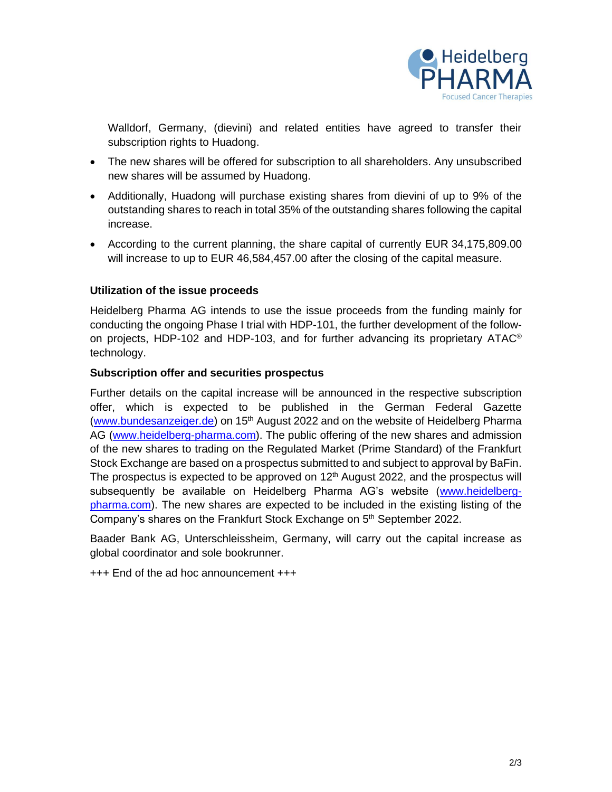

Walldorf, Germany, (dievini) and related entities have agreed to transfer their subscription rights to Huadong.

- The new shares will be offered for subscription to all shareholders. Any unsubscribed new shares will be assumed by Huadong.
- Additionally, Huadong will purchase existing shares from dievini of up to 9% of the outstanding shares to reach in total 35% of the outstanding shares following the capital increase.
- According to the current planning, the share capital of currently EUR 34,175,809.00 will increase to up to EUR 46,584,457.00 after the closing of the capital measure.

### **Utilization of the issue proceeds**

Heidelberg Pharma AG intends to use the issue proceeds from the funding mainly for conducting the ongoing Phase I trial with HDP-101, the further development of the followon projects, HDP-102 and HDP-103, and for further advancing its proprietary ATAC<sup>®</sup> technology.

### **Subscription offer and securities prospectus**

Further details on the capital increase will be announced in the respective subscription offer, which is expected to be published in the German Federal Gazette [\(www.bundesanzeiger.de\)](http://www.bundesanzeiger.de/) on 15<sup>th</sup> August 2022 and on the website of Heidelberg Pharma AG [\(www.heidelberg-pharma.com\)](http://www.heidelberg-pharma.com/). The public offering of the new shares and admission of the new shares to trading on the Regulated Market (Prime Standard) of the Frankfurt Stock Exchange are based on a prospectus submitted to and subject to approval by BaFin. The prospectus is expected to be approved on  $12<sup>th</sup>$  August 2022, and the prospectus will subsequently be available on Heidelberg Pharma AG's website [\(www.heidelberg](http://www.heidelberg-pharma.com/)[pharma.com\)](http://www.heidelberg-pharma.com/). The new shares are expected to be included in the existing listing of the Company's shares on the Frankfurt Stock Exchange on 5<sup>th</sup> September 2022.

Baader Bank AG, Unterschleissheim, Germany, will carry out the capital increase as global coordinator and sole bookrunner.

+++ End of the ad hoc announcement +++